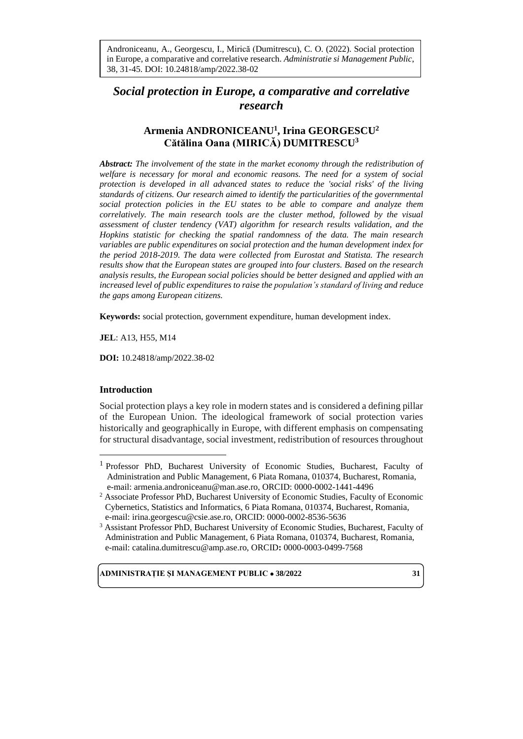in Europe, a comparative and correlative research. Administratie si Management Public, Androniceanu, A., Georgescu, I., Mirică (Dumitrescu), C. O. (2022). Social protection 38, 31-45. DOI: 10.24818/amp/2022.38-02

# *Social protection in Europe, a comparative and correlative research*

## **Armenia ANDRONICEANU<sup>1</sup> , Irina GEORGESCU<sup>2</sup> Cătălina Oana (MIRICĂ) DUMITRESCU<sup>3</sup>**

*Abstract: The involvement of the state in the market economy through the redistribution of welfare is necessary for moral and economic reasons. The need for a system of social protection is developed in all advanced states to reduce the 'social risks' of the living standards of citizens. Our research aimed to identify the particularities of the governmental social protection policies in the EU states to be able to compare and analyze them correlatively. The main research tools are the cluster method, followed by the visual assessment of cluster tendency (VAT) algorithm for research results validation, and the Hopkins statistic for checking the spatial randomness of the data. The main research variables are public expenditures on social protection and the human development index for the period 2018-2019. The data were collected from Eurostat and Statista. The research results show that the European states are grouped into four clusters. Based on the research analysis results, the European social policies should be better designed and applied with an increased level of public expenditures to raise the population's standard of living and reduce the gaps among European citizens.*

**Keywords:** social protection, government expenditure, human development index.

**JEL**: A13, H55, M14

**DOI:** 10.24818/amp/2022.38-02

## **Introduction**

Social protection plays a key role in modern states and is considered a defining pillar of the European Union. The ideological framework of social protection varies historically and geographically in Europe, with different emphasis on compensating for structural disadvantage, social investment, redistribution of resources throughout

<sup>1</sup> Professor PhD, Bucharest University of Economic Studies, Bucharest, Faculty of Administration and Public Management, 6 Piata Romana, 010374, Bucharest, Romania, e-mail: armenia.androniceanu@man.ase.ro, ORCID: 0000-0002-1441-4496

<sup>2</sup> Associate Professor PhD, Bucharest University of Economic Studies, Faculty of Economic Cybernetics, Statistics and Informatics, 6 Piata Romana, 010374, Bucharest, Romania, e-mail: [irina.georgescu@csie.](mailto:irina.georgescu@csie)ase.ro, ORCID: 0000-0002-8536-5636

<sup>&</sup>lt;sup>3</sup> Assistant Professor PhD, Bucharest University of Economic Studies, Bucharest, Faculty of Administration and Public Management, 6 Piata Romana, 010374, Bucharest, Romania, e-mail: [catalina.dumitrescu@amp.ase.ro,](mailto:catalina.dumitrescu@amp.ase.ro) ORCID**:** 0000-0003-0499-7568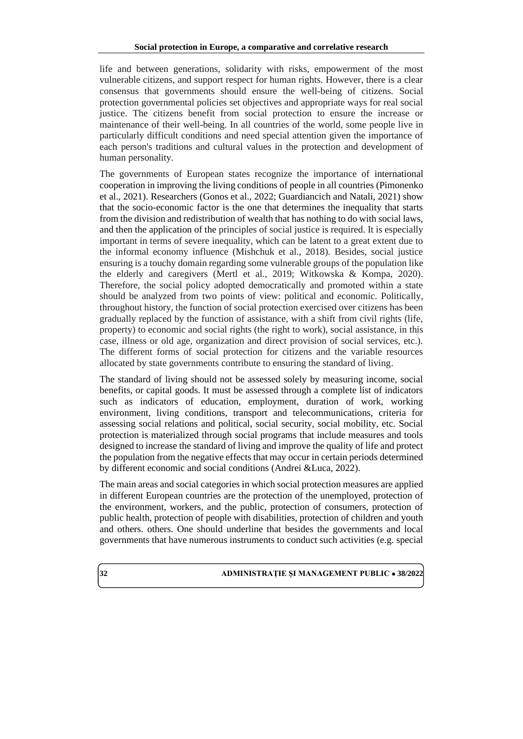life and between generations, solidarity with risks, empowerment of the most vulnerable citizens, and support respect for human rights. However, there is a clear consensus that governments should ensure the well-being of citizens. Social protection governmental policies set objectives and appropriate ways for real social justice. The citizens benefit from social protection to ensure the increase or maintenance of their well-being. In all countries of the world, some people live in particularly difficult conditions and need special attention given the importance of each person's traditions and cultural values in the protection and development of human personality.

The governments of European states recognize the importance of international cooperation in improving the living conditions of people in all countries (Pimonenko et al., 2021). Researchers (Gonos et al., 2022; Guardiancich and Natali, 2021) show that the socio-economic factor is the one that determines the inequality that starts from the division and redistribution of wealth that has nothing to do with social laws, and then the application of the principles of social justice is required. It is especially important in terms of severe inequality, which can be latent to a great extent due to the informal economy influence (Mishchuk et al., 2018). Besides, social justice ensuring is a touchy domain regarding some vulnerable groups of the population like the elderly and caregivers (Mertl et al., 2019; Witkowska & Kompa, 2020). Therefore, the social policy adopted democratically and promoted within a state should be analyzed from two points of view: political and economic. Politically, throughout history, the function of social protection exercised over citizens has been gradually replaced by the function of assistance, with a shift from civil rights (life, property) to economic and social rights (the right to work), social assistance, in this case, illness or old age, organization and direct provision of social services, etc.). The different forms of social protection for citizens and the variable resources allocated by state governments contribute to ensuring the standard of living.

The standard of living should not be assessed solely by measuring income, social benefits, or capital goods. It must be assessed through a complete list of indicators such as indicators of education, employment, duration of work, working environment, living conditions, transport and telecommunications, criteria for assessing social relations and political, social security, social mobility, etc. Social protection is materialized through social programs that include measures and tools designed to increase the standard of living and improve the quality of life and protect the population from the negative effects that may occur in certain periods determined by different economic and social conditions (Andrei &Luca, 2022).

The main areas and social categories in which social protection measures are applied in different European countries are the protection of the unemployed, protection of the environment, workers, and the public, protection of consumers, protection of public health, protection of people with disabilities, protection of children and youth and others. others. One should underline that besides the governments and local governments that have numerous instruments to conduct such activities (e.g. special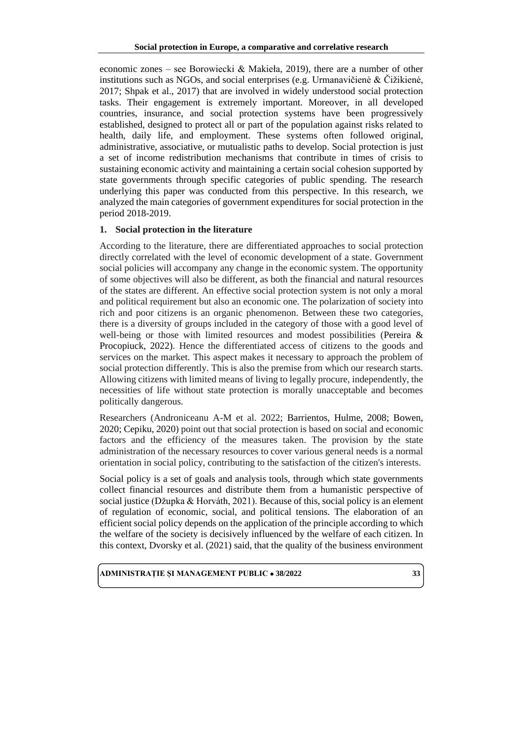economic zones – see Borowiecki & Makieła, 2019), there are a number of other institutions such as NGOs, and social enterprises (e.g. Urmanavičienė  $\&$  Čižikienė, 2017; Shpak et al., 2017) that are involved in widely understood social protection tasks. Their engagement is extremely important. Moreover, in all developed countries, insurance, and social protection systems have been progressively established, designed to protect all or part of the population against risks related to health, daily life, and employment. These systems often followed original, administrative, associative, or mutualistic paths to develop. Social protection is just a set of income redistribution mechanisms that contribute in times of crisis to sustaining economic activity and maintaining a certain social cohesion supported by state governments through specific categories of public spending. The research underlying this paper was conducted from this perspective. In this research, we analyzed the main categories of government expenditures for social protection in the period 2018-2019.

## **1. Social protection in the literature**

According to the literature, there are differentiated approaches to social protection directly correlated with the level of economic development of a state. Government social policies will accompany any change in the economic system. The opportunity of some objectives will also be different, as both the financial and natural resources of the states are different. An effective social protection system is not only a moral and political requirement but also an economic one. The polarization of society into rich and poor citizens is an organic phenomenon. Between these two categories, there is a diversity of groups included in the category of those with a good level of well-being or those with limited resources and modest possibilities (Pereira & Procopiuck, 2022). Hence the differentiated access of citizens to the goods and services on the market. This aspect makes it necessary to approach the problem of social protection differently. This is also the premise from which our research starts. Allowing citizens with limited means of living to legally procure, independently, the necessities of life without state protection is morally unacceptable and becomes politically dangerous.

Researchers (Androniceanu A-M et al. 2022; Barrientos, Hulme, 2008; Bowen, 2020; Cepiku, 2020) point out that social protection is based on social and economic factors and the efficiency of the measures taken. The provision by the state administration of the necessary resources to cover various general needs is a normal orientation in social policy, contributing to the satisfaction of the citizen's interests.

Social policy is a set of goals and analysis tools, through which state governments collect financial resources and distribute them from a humanistic perspective of social justice (Džupka & Horváth, 2021). Because of this, social policy is an element of regulation of economic, social, and political tensions. The elaboration of an efficient social policy depends on the application of the principle according to which the welfare of the society is decisively influenced by the welfare of each citizen. In this context, Dvorsky et al. (2021) said, that the quality of the business environment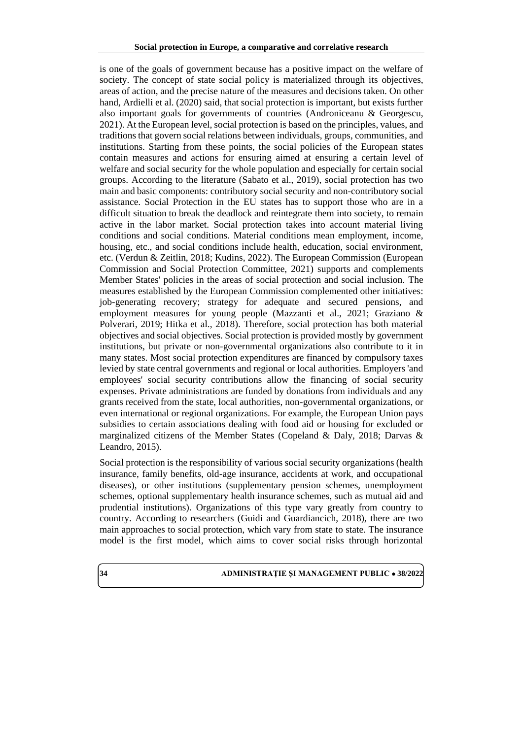is one of the goals of government because has a positive impact on the welfare of society. The concept of state social policy is materialized through its objectives, areas of action, and the precise nature of the measures and decisions taken. On other hand, Ardielli et al. (2020) said, that social protection is important, but exists further also important goals for governments of countries (Androniceanu & Georgescu, 2021). At the European level, social protection is based on the principles, values, and traditions that govern social relations between individuals, groups, communities, and institutions. Starting from these points, the social policies of the European states contain measures and actions for ensuring aimed at ensuring a certain level of welfare and social security for the whole population and especially for certain social groups. According to the literature (Sabato et al., 2019), social protection has two main and basic components: contributory social security and non-contributory social assistance. Social Protection in the EU states has to support those who are in a difficult situation to break the deadlock and reintegrate them into society, to remain active in the labor market. Social protection takes into account material living conditions and social conditions. Material conditions mean employment, income, housing, etc., and social conditions include health, education, social environment, etc. (Verdun & Zeitlin, 2018; Kudins, 2022). The European Commission (European Commission and Social Protection Committee, 2021) supports and complements Member States' policies in the areas of social protection and social inclusion. The measures established by the European Commission complemented other initiatives: job-generating recovery; strategy for adequate and secured pensions, and employment measures for young people (Mazzanti et al., 2021; Graziano & Polverari, 2019; Hitka et al., 2018). Therefore, social protection has both material objectives and social objectives. Social protection is provided mostly by government institutions, but private or non-governmental organizations also contribute to it in many states. Most social protection expenditures are financed by compulsory taxes levied by state central governments and regional or local authorities. Employers 'and employees' social security contributions allow the financing of social security expenses. Private administrations are funded by donations from individuals and any grants received from the state, local authorities, non-governmental organizations, or even international or regional organizations. For example, the European Union pays subsidies to certain associations dealing with food aid or housing for excluded or marginalized citizens of the Member States (Copeland & Daly, 2018; Darvas & Leandro, 2015).

Social protection is the responsibility of various social security organizations (health insurance, family benefits, old-age insurance, accidents at work, and occupational diseases), or other institutions (supplementary pension schemes, unemployment schemes, optional supplementary health insurance schemes, such as mutual aid and prudential institutions). Organizations of this type vary greatly from country to country. According to researchers (Guidi and Guardiancich, 2018), there are two main approaches to social protection, which vary from state to state. The insurance model is the first model, which aims to cover social risks through horizontal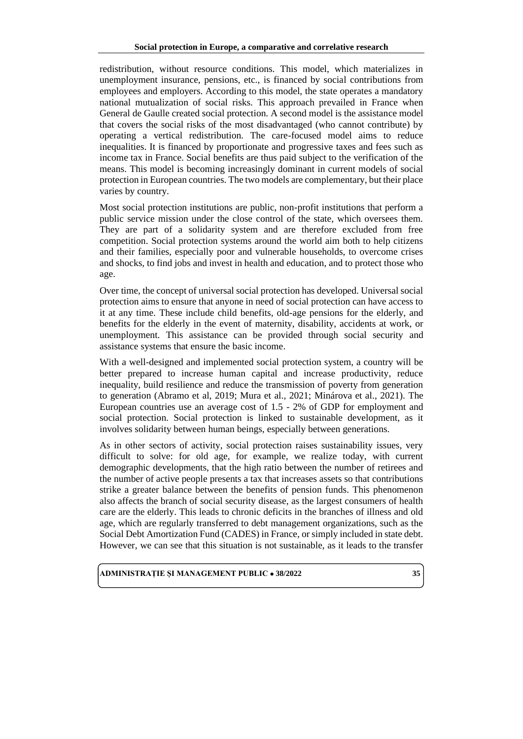redistribution, without resource conditions. This model, which materializes in unemployment insurance, pensions, etc., is financed by social contributions from employees and employers. According to this model, the state operates a mandatory national mutualization of social risks. This approach prevailed in France when General de Gaulle created social protection. A second model is the assistance model that covers the social risks of the most disadvantaged (who cannot contribute) by operating a vertical redistribution. The care-focused model aims to reduce inequalities. It is financed by proportionate and progressive taxes and fees such as income tax in France. Social benefits are thus paid subject to the verification of the means. This model is becoming increasingly dominant in current models of social protection in European countries. The two models are complementary, but their place varies by country.

Most social protection institutions are public, non-profit institutions that perform a public service mission under the close control of the state, which oversees them. They are part of a solidarity system and are therefore excluded from free competition. Social protection systems around the world aim both to help citizens and their families, especially poor and vulnerable households, to overcome crises and shocks, to find jobs and invest in health and education, and to protect those who age.

Over time, the concept of universal social protection has developed. Universal social protection aims to ensure that anyone in need of social protection can have access to it at any time. These include child benefits, old-age pensions for the elderly, and benefits for the elderly in the event of maternity, disability, accidents at work, or unemployment. This assistance can be provided through social security and assistance systems that ensure the basic income.

With a well-designed and implemented social protection system, a country will be better prepared to increase human capital and increase productivity, reduce inequality, build resilience and reduce the transmission of poverty from generation to generation (Abramo et al, 2019; Mura et al., 2021; Minárova et al., 2021). The European countries use an average cost of 1.5 - 2% of GDP for employment and social protection. Social protection is linked to sustainable development, as it involves solidarity between human beings, especially between generations.

As in other sectors of activity, social protection raises sustainability issues, very difficult to solve: for old age, for example, we realize today, with current demographic developments, that the high ratio between the number of retirees and the number of active people presents a tax that increases assets so that contributions strike a greater balance between the benefits of pension funds. This phenomenon also affects the branch of social security disease, as the largest consumers of health care are the elderly. This leads to chronic deficits in the branches of illness and old age, which are regularly transferred to debt management organizations, such as the Social Debt Amortization Fund (CADES) in France, or simply included in state debt. However, we can see that this situation is not sustainable, as it leads to the transfer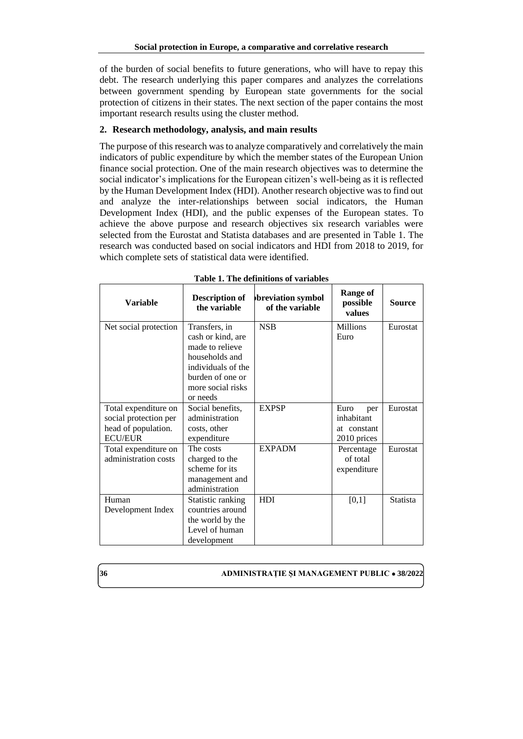of the burden of social benefits to future generations, who will have to repay this debt. The research underlying this paper compares and analyzes the correlations between government spending by European state governments for the social protection of citizens in their states. The next section of the paper contains the most important research results using the cluster method.

## **2. Research methodology, analysis, and main results**

The purpose of this research was to analyze comparatively and correlatively the main indicators of public expenditure by which the member states of the European Union finance social protection. One of the main research objectives was to determine the social indicator's implications for the European citizen's well-being as it is reflected by the Human Development Index (HDI). Another research objective was to find out and analyze the inter-relationships between social indicators, the Human Development Index (HDI), and the public expenses of the European states. To achieve the above purpose and research objectives six research variables were selected from the Eurostat and Statista databases and are presented in Table 1. The research was conducted based on social indicators and HDI from 2018 to 2019, for which complete sets of statistical data were identified.

| <b>Variable</b>                                                                        | <b>Description of</b><br>the variable                                                                                                              | breviation symbol<br>of the variable | <b>Range of</b><br>possible<br>values                   | Source          |
|----------------------------------------------------------------------------------------|----------------------------------------------------------------------------------------------------------------------------------------------------|--------------------------------------|---------------------------------------------------------|-----------------|
| Net social protection                                                                  | Transfers, in<br>cash or kind, are<br>made to relieve<br>households and<br>individuals of the<br>burden of one or<br>more social risks<br>or needs | <b>NSB</b>                           | <b>Millions</b><br>Euro                                 | Eurostat        |
| Total expenditure on<br>social protection per<br>head of population.<br><b>ECU/EUR</b> | Social benefits,<br>administration<br>costs, other<br>expenditure                                                                                  | <b>EXPSP</b>                         | Euro<br>per<br>inhabitant<br>at constant<br>2010 prices | Eurostat        |
| Total expenditure on<br>administration costs                                           | The costs<br>charged to the<br>scheme for its<br>management and<br>administration                                                                  | <b>EXPADM</b>                        | Percentage<br>of total<br>expenditure                   | Eurostat        |
| Human<br>Development Index                                                             | Statistic ranking<br>countries around<br>the world by the<br>Level of human<br>development                                                         | HDI                                  | [0,1]                                                   | <b>Statista</b> |

**Table 1. The definitions of variables**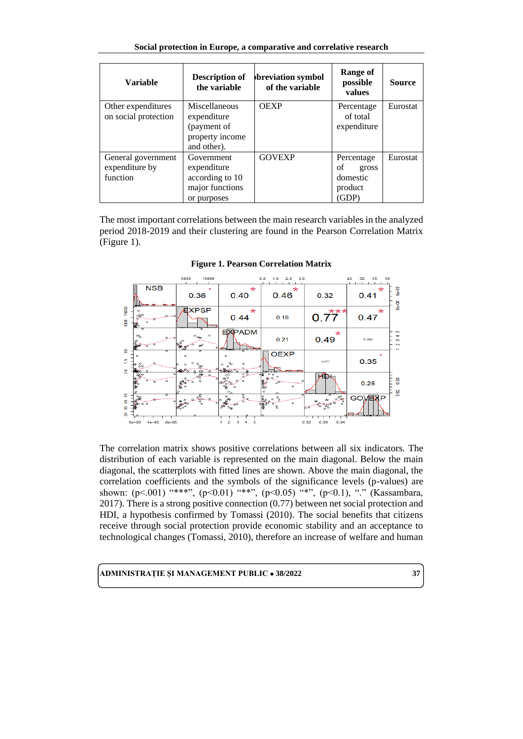| Social protection in Europe, a comparative and correlative research |
|---------------------------------------------------------------------|
|---------------------------------------------------------------------|

| <b>Variable</b>                                                                                                             | <b>Description of</b><br>the variable                                          | breviation symbol<br>of the variable | Range of<br>possible<br>values                            | <b>Source</b> |
|-----------------------------------------------------------------------------------------------------------------------------|--------------------------------------------------------------------------------|--------------------------------------|-----------------------------------------------------------|---------------|
| Miscellaneous<br>Other expenditures<br>on social protection<br>expenditure<br>(payment of<br>property income<br>and other). |                                                                                | <b>OEXP</b>                          | Percentage<br>of total<br>expenditure                     | Eurostat      |
| General government<br>expenditure by<br>function                                                                            | Government<br>expenditure<br>according to 10<br>major functions<br>or purposes | <b>GOVEXP</b>                        | Percentage<br>οf<br>gross<br>domestic<br>product<br>(GDP) | Eurostat      |

The most important correlations between the main research variables in the analyzed period 2018-2019 and their clustering are found in the Pearson Correlation Matrix (Figure 1).



**Figure 1. Pearson Correlation Matrix**

The correlation matrix shows positive correlations between all six indicators. The distribution of each variable is represented on the main diagonal. Below the main diagonal, the scatterplots with fitted lines are shown. Above the main diagonal, the correlation coefficients and the symbols of the significance levels (p-values) are shown: (p<.001) "\*\*\*", (p<0.01) "\*\*\*", (p<0.05) "\*", (p<0.1), "." (Kassambara, 2017). There is a strong positive connection (0.77) between net social protection and HDI, a hypothesis confirmed by Tomassi (2010). The social benefits that citizens receive through social protection provide economic stability and an acceptance to technological changes (Tomassi, 2010), therefore an increase of welfare and human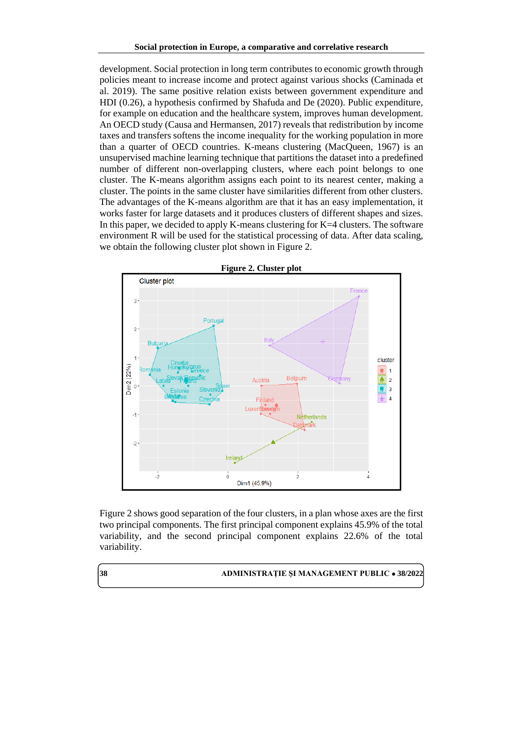development. Social protection in long term contributes to economic growth through policies meant to increase income and protect against various shocks (Caminada et al. 2019). The same positive relation exists between government expenditure and HDI (0.26), a hypothesis confirmed by Shafuda and De (2020). Public expenditure, for example on education and the healthcare system, improves human development. An OECD study (Causa and Hermansen, 2017) reveals that redistribution by income taxes and transfers softens the income inequality for the working population in more than a quarter of OECD countries. K-means clustering (MacQueen, 1967) is an unsupervised machine learning technique that partitions the dataset into a predefined number of different non-overlapping clusters, where each point belongs to one cluster. The K-means algorithm assigns each point to its nearest center, making a cluster. The points in the same cluster have similarities different from other clusters. The advantages of the K-means algorithm are that it has an easy implementation, it works faster for large datasets and it produces clusters of different shapes and sizes. In this paper, we decided to apply K-means clustering for  $K=4$  clusters. The software environment R will be used for the statistical processing of data. After data scaling, we obtain the following cluster plot shown in Figure 2.



Figure 2 shows good separation of the four clusters, in a plan whose axes are the first two principal components. The first principal component explains 45.9% of the total variability, and the second principal component explains 22.6% of the total variability.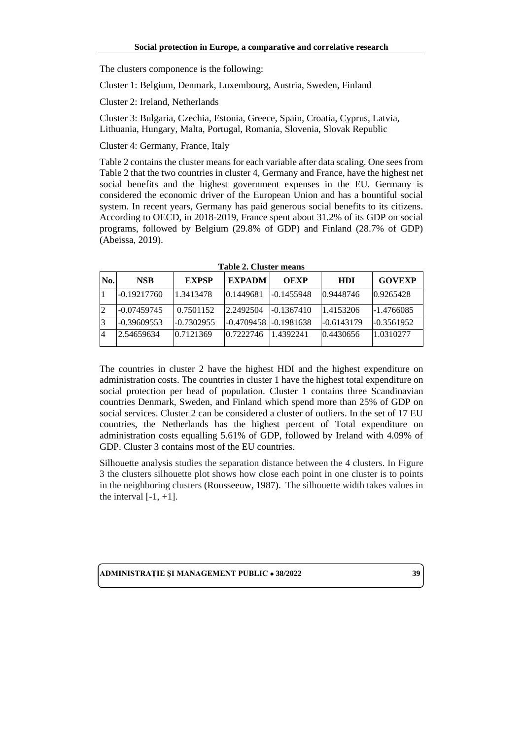The clusters componence is the following:

Cluster 1: Belgium, Denmark, Luxembourg, Austria, Sweden, Finland

Cluster 2: Ireland, Netherlands

Cluster 3: Bulgaria, Czechia, Estonia, Greece, Spain, Croatia, Cyprus, Latvia, Lithuania, Hungary, Malta, Portugal, Romania, Slovenia, Slovak Republic

Cluster 4: Germany, France, Italy

Table 2 contains the cluster means for each variable after data scaling. One sees from Table 2 that the two countries in cluster 4, Germany and France, have the highest net social benefits and the highest government expenses in the EU. Germany is considered the economic driver of the European Union and has a bountiful social system. In recent years, Germany has paid generous social benefits to its citizens. According to OECD, in 2018-2019, France spent about 31.2% of its GDP on social programs, followed by Belgium (29.8% of GDP) and Finland (28.7% of GDP) (Abeissa, 2019).

| No. | <b>NSB</b>    | <b>EXPSP</b> | <b>EXPADM</b>         | <b>OEXP</b>  | <b>HDI</b> | <b>GOVEXP</b> |
|-----|---------------|--------------|-----------------------|--------------|------------|---------------|
|     | $-0.19217760$ | 1.3413478    | 0.1449681             | -0.1455948   | 0.9448746  | 0.9265428     |
|     | $-0.07459745$ | 0.7501152    | 2.2492504             | $-0.1367410$ | 1.4153206  | -1.4766085    |
|     | $-0.39609553$ | $-0.7302955$ | -0.4709458 -0.1981638 |              | -0.6143179 | $-0.3561952$  |
|     | 2.54659634    | 0.7121369    | 0.7222746             | 1.4392241    | 0.4430656  | 1.0310277     |

**Table 2. Cluster means**

The countries in cluster 2 have the highest HDI and the highest expenditure on administration costs. The countries in cluster 1 have the highest total expenditure on social protection per head of population. Cluster 1 contains three Scandinavian countries Denmark, Sweden, and Finland which spend more than 25% of GDP on social services. Cluster 2 can be considered a cluster of outliers. In the set of 17 EU countries, the Netherlands has the highest percent of Total expenditure on administration costs equalling 5.61% of GDP, followed by Ireland with 4.09% of GDP. Cluster 3 contains most of the EU countries.

Silhouette analysis studies the separation distance between the 4 clusters. In Figure 3 the clusters silhouette plot shows how close each point in one cluster is to points in the neighboring clusters [\(Rousseeuw,](https://www.sciencedirect.com/science/article/pii/0377042787901257#!) 1987). The silhouette width takes values in the interval  $[-1, +1]$ .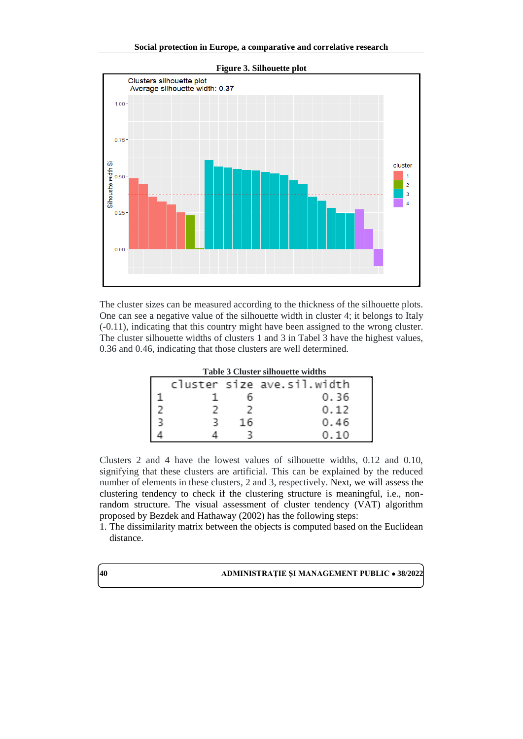

The cluster sizes can be measured according to the thickness of the silhouette plots. One can see a negative value of the silhouette width in cluster 4; it belongs to Italy (-0.11), indicating that this country might have been assigned to the wrong cluster. The cluster silhouette widths of clusters 1 and 3 in Tabel 3 have the highest values, 0.36 and 0.46, indicating that those clusters are well determined.

| <b>Table 3 Cluster silhouette widths</b> |  |    |                            |  |
|------------------------------------------|--|----|----------------------------|--|
|                                          |  |    | cluster size ave.sil.width |  |
|                                          |  |    | 0.36                       |  |
|                                          |  |    | 0.12                       |  |
|                                          |  | 16 | 0.46                       |  |
|                                          |  |    | 010                        |  |

Clusters 2 and 4 have the lowest values of silhouette widths, 0.12 and 0.10, signifying that these clusters are artificial. This can be explained by the reduced number of elements in these clusters, 2 and 3, respectively. Next, we will assess the clustering tendency to check if the clustering structure is meaningful, i.e., nonrandom structure. The visual assessment of cluster tendency (VAT) algorithm proposed by Bezdek and Hathaway (2002) has the following steps:

1. The dissimilarity matrix between the objects is computed based on the Euclidean distance.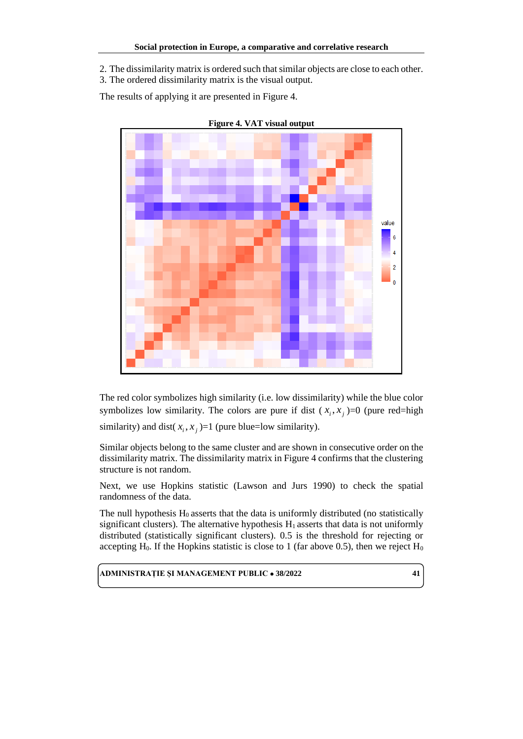2. The dissimilarity matrix is ordered such that similar objects are close to each other.

3. The ordered dissimilarity matrix is the visual output.

The results of applying it are presented in Figure 4.



**Figure 4. VAT visual output**

The red color symbolizes high similarity (i.e. low dissimilarity) while the blue color symbolizes low similarity. The colors are pure if dist  $(x_i, x_j) = 0$  (pure red=high

similarity) and dist( $x_i$ ,  $x_j$ )=1 (pure blue=low similarity).

Similar objects belong to the same cluster and are shown in consecutive order on the dissimilarity matrix. The dissimilarity matrix in Figure 4 confirms that the clustering structure is not random.

Next, we use Hopkins statistic (Lawson and Jurs 1990) to check the spatial randomness of the data.

The null hypothesis  $H_0$  asserts that the data is uniformly distributed (no statistically significant clusters). The alternative hypothesis  $H_1$  asserts that data is not uniformly distributed (statistically significant clusters). 0.5 is the threshold for rejecting or accepting  $H_0$ . If the Hopkins statistic is close to 1 (far above 0.5), then we reject  $H_0$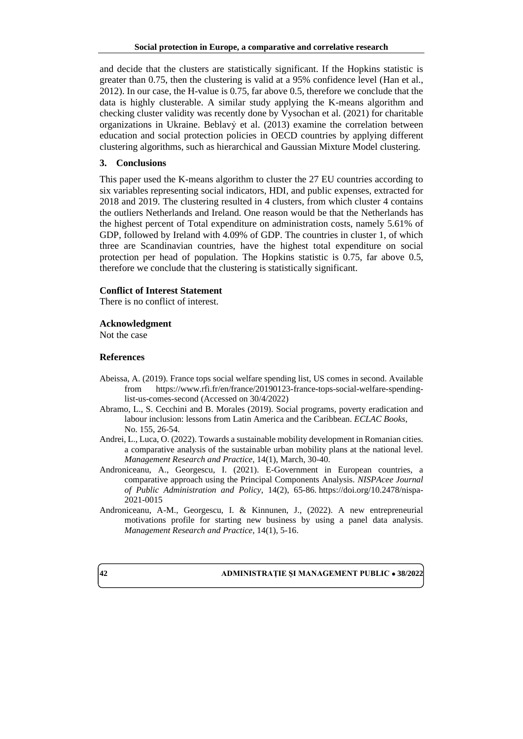and decide that the clusters are statistically significant. If the Hopkins statistic is greater than 0.75, then the clustering is valid at a 95% confidence level (Han et al., 2012). In our case, the H-value is 0.75, far above 0.5, therefore we conclude that the data is highly clusterable. A similar study applying the K-means algorithm and checking cluster validity was recently done by Vysochan et al. (2021) for charitable organizations in Ukraine. Beblavỷ et al. (2013) examine the correlation between education and social protection policies in OECD countries by applying different clustering algorithms, such as hierarchical and Gaussian Mixture Model clustering.

### **3. Conclusions**

This paper used the K-means algorithm to cluster the 27 EU countries according to six variables representing social indicators, HDI, and public expenses, extracted for 2018 and 2019. The clustering resulted in 4 clusters, from which cluster 4 contains the outliers Netherlands and Ireland. One reason would be that the Netherlands has the highest percent of Total expenditure on administration costs, namely 5.61% of GDP, followed by Ireland with 4.09% of GDP. The countries in cluster 1, of which three are Scandinavian countries, have the highest total expenditure on social protection per head of population. The Hopkins statistic is 0.75, far above 0.5, therefore we conclude that the clustering is statistically significant.

#### **Conflict of Interest Statement**

There is no conflict of interest.

#### **Acknowledgment**

Not the case

#### **References**

- Abeissa, A. (2019). France tops social welfare spending list, US comes in second. Available from https://www.rfi.fr/en/france/20190123-france-tops-social-welfare-spendinglist-us-comes-second (Accessed on 30/4/2022)
- Abramo, L., S. Cecchini and B. Morales (2019). Social programs, poverty eradication and labour inclusion: lessons from Latin America and the Caribbean. *ECLAC Books*, No. 155, 26-54.
- Andrei, L., Luca, O. (2022). Towards a sustainable mobility development in Romanian cities. a comparative analysis of the sustainable urban mobility plans at the national level. *Management Research and Practice*, 14(1), March, 30-40.
- Androniceanu, A., Georgescu, I. (2021). E-Government in European countries, a comparative approach using the Principal Components Analysis. *NISPAcee Journal of Public Administration and Policy*, 14(2), 65-86. [https://doi.org/10.2478/nispa-](https://doi.org/10.2478/nispa-2021-0015)[2021-0015](https://doi.org/10.2478/nispa-2021-0015)
- Androniceanu, A-M., Georgescu, I. & Kinnunen, J., (2022). A new entrepreneurial motivations profile for starting new business by using a panel data analysis. *Management Research and Practice*, 14(1), 5-16.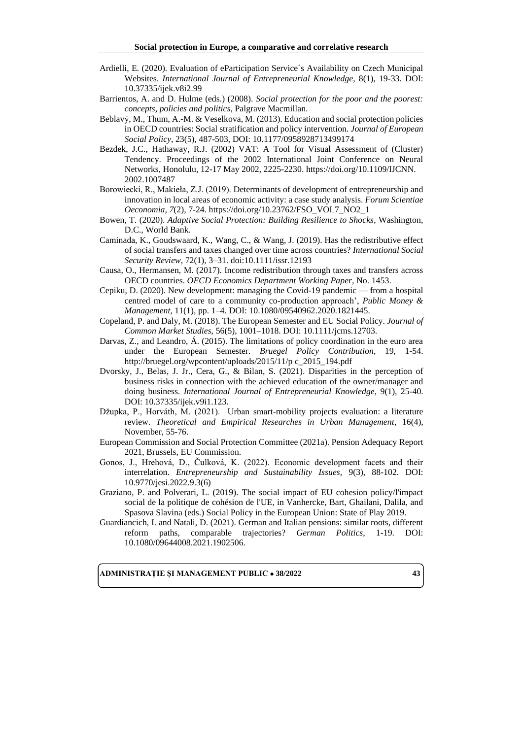- Ardielli, E. (2020). Evaluation of eParticipation Service´s Availability on Czech Municipal Websites. *International Journal of Entrepreneurial Knowledge*, 8(1), 19-33. DOI: 10.37335/ijek.v8i2.99
- Barrientos, A. and D. Hulme (eds.) (2008). *Social protection for the poor and the poorest: concepts, policies and politics*, Palgrave Macmillan.
- Beblavỷ, M., Thum, A.-M. & Veselkova, M. (2013). Education and social protection policies in OECD countries: Social stratification and policy intervention. *Journal of European Social Policy*, 23(5), 487-503, DOI: 10.1177/0958928713499174
- Bezdek, J.C., Hathaway, R.J. (2002) VAT: A Tool for Visual Assessment of (Cluster) Tendency. Proceedings of the 2002 International Joint Conference on Neural Networks, Honolulu, 12-17 May 2002, 2225-2230. [https://doi.org/10.1109/IJCNN.](https://doi.org/10.1109/IJCNN.2002.1007487) [2002.1007487](https://doi.org/10.1109/IJCNN.2002.1007487)
- Borowiecki, R., Makieła, Z.J. (2019). Determinants of development of entrepreneurship and innovation in local areas of economic activity: a case study analysis. *Forum Scientiae Oeconomia, 7*(2), 7-24. [https://doi.org/10.23762/FSO\\_VOL7\\_NO2\\_1](https://doi.org/10.23762/FSO_VOL7_NO2_1)
- Bowen, T. (2020). *Adaptive Social Protection: Building Resilience to Shocks*, Washington, D.C., World Bank.
- Caminada, K., Goudswaard, K., Wang, C., & Wang, J. (2019). Has the redistributive effect of social transfers and taxes changed over time across countries? *International Social Security Review*, 72(1), 3–31. doi:10.1111/issr.12193
- Causa, O., Hermansen, M. (2017). Income redistribution through taxes and transfers across OECD countries. *OECD Economics Department Working Paper*, No. 1453.
- Cepiku, D. (2020). New development: managing the Covid-19 pandemic from a hospital centred model of care to a community co-production approach', *Public Money & Management*, 11(1), pp. 1–4. DOI: 10.1080/09540962.2020.1821445.
- Copeland, P. and Daly, M. (2018). The European Semester and EU Social Policy. *Journal of Common Market Studies*, 56(5), 1001–1018. DOI: 10.1111/jcms.12703.
- Darvas, Z., and Leandro, Á. (2015). The limitations of policy coordination in the euro area under the European Semester. *Bruegel Policy Contribution*, 19, 1-54. [http://bruegel.org/wpcontent/uploads/2015/11/p c\\_2015\\_194.pdf](http://bruegel.org/wpcontent/uploads/2015/11/p%20c_2015_194.pdf)
- Dvorsky, J., Belas, J. Jr., Cera, G., & Bilan, S. (2021). Disparities in the perception of business risks in connection with the achieved education of the owner/manager and doing business. *International Journal of Entrepreneurial Knowledge*, 9(1), 25-40. DOI: 10.37335/ijek.v9i1.123.
- Džupka, P., Horváth, M. (2021). Urban smart-mobility projects evaluation: a literature review. *Theoretical and Empirical Researches in Urban Management*, 16(4), November, 55-76.
- European Commission and Social Protection Committee (2021a). Pension Adequacy Report 2021, Brussels, EU Commission.
- Gonos, J., Hrehová, D., Čulková, K. (2022). Economic development facets and their interrelation. *Entrepreneurship and Sustainability Issues,* 9(3), 88-102. DOI: 10.9770/jesi.2022.9.3(6)
- Graziano, P. and Polverari, L. (2019). The social impact of EU cohesion policy/l'impact social de la politique de cohésion de l'UE, in Vanhercke, Bart, Ghailani, Dalila, and Spasova Slavina (eds.) Social Policy in the European Union: State of Play 2019.
- Guardiancich, I. and Natali, D. (2021). German and Italian pensions: similar roots, different reform paths, comparable trajectories? *German Politics*, 1-19. DOI: 10.1080/09644008.2021.1902506.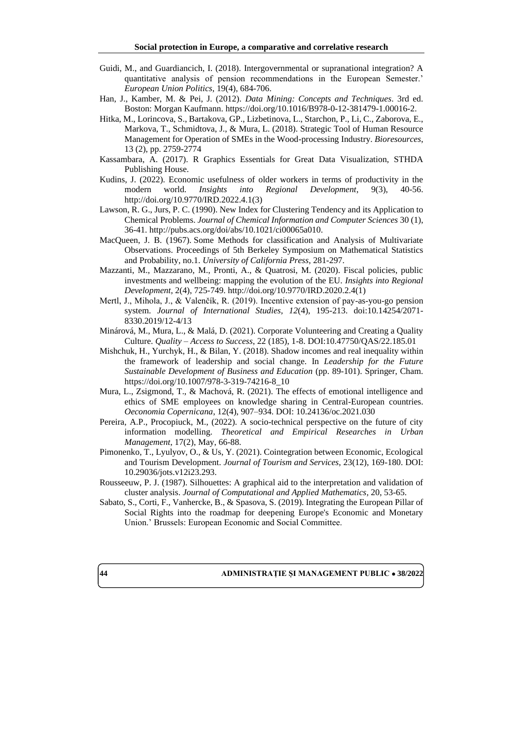- Guidi, M., and Guardiancich, I. (2018). Intergovernmental or supranational integration? A quantitative analysis of pension recommendations in the European Semester.' *European Union Politics*, 19(4), 684-706.
- Han, J., Kamber, M. & Pei, J. (2012). *Data Mining: Concepts and Techniques*. 3rd ed. Boston: Morgan Kaufmann. [https://doi.org/10.1016/B978-0-12-381479-1.00016-2.](https://doi.org/10.1016/B978-0-12-381479-1.00016-2)
- Hitka, M., Lorincova, S., Bartakova, GP., Lizbetinova, L., Starchon, P., Li, C., Zaborova, E., Markova, T., Schmidtova, J., & Mura, L. (2018). Strategic Tool of Human Resource Management for Operation of SMEs in the Wood-processing Industry. *Bioresources*, 13 (2), pp. 2759-2774
- Kassambara, A. (2017). R Graphics Essentials for Great Data Visualization, STHDA Publishing House.
- Kudins, J. (2022). Economic usefulness of older workers in terms of productivity in the modern world. *Insights into Regional Development*, 9(3), 40-56. http://doi.org/10.9770/IRD.2022.4.1(3)
- Lawson, R. G., Jurs, P. C. (1990). New Index for Clustering Tendency and its Application to Chemical Problems. *Journal of Chemical Information and Computer Sciences* 30 (1), 36-41. [http://pubs.acs.org/doi/abs/10.1021/ci00065a010.](http://pubs.acs.org/doi/abs/10.1021/ci00065a010)
- MacQueen, J. B. (1967). [Some Methods for classification and Analysis of Multivariate](http://projecteuclid.org/euclid.bsmsp/1200512992)  [Observations.](http://projecteuclid.org/euclid.bsmsp/1200512992) Proceedings of 5th Berkeley Symposium on Mathematical Statistics and Probability, no.1. *University of California Press*, 281-297.
- Mazzanti, M., Mazzarano, M., Pronti, A., & Quatrosi, M. (2020). Fiscal policies, public investments and wellbeing: mapping the evolution of the EU. *Insights into Regional Development*, 2(4), 725-749[. http://doi.org/10.9770/IRD.2020.2.4\(1\)](http://doi.org/10.9770/IRD.2020.2.4(1))
- Mertl, J., Mihola, J., & Valenčík, R. (2019). Incentive extension of pay-as-you-go pension system. *Journal of International Studies, 12*(4), 195-213. doi:10.14254/2071- 8330.2019/12-4/13
- Minárová, M., Mura, L., & Malá, D. (2021). Corporate Volunteering and Creating a Quality Culture. *Quality – Access to Success*, 22 (185), 1-8. DOI:10.47750/QAS/22.185.01
- Mishchuk, H., Yurchyk, H., & Bilan, Y. (2018). Shadow incomes and real inequality within the framework of leadership and social change. In *Leadership for the Future Sustainable Development of Business and Education* (pp. 89-101). Springer, Cham. [https://doi.org/10.1007/978-3-319-74216-8\\_10](https://doi.org/10.1007/978-3-319-74216-8_10)
- Mura, L., Zsigmond, T., & Machová, R. (2021). The effects of emotional intelligence and ethics of SME employees on knowledge sharing in Central-European countries. *Oeconomia Copernicana*, 12(4), 907–934. DOI: 10.24136/oc.2021.030
- Pereira, A.P., Procopiuck, M., (2022). A socio-technical perspective on the future of city information modelling. *Theoretical and Empirical Researches in Urban Management*, 17(2), May, 66-88.
- Pimonenko, T., Lyulyov, O., & Us, Y. (2021). Cointegration between Economic, Ecological and Tourism Development. *Journal of Tourism and Services*, 23(12), 169-180. DOI: 10.29036/jots.v12i23.293.
- [Rousseeuw,](https://www.sciencedirect.com/science/article/pii/0377042787901257#!) P. J. (1987). Silhouettes: A graphical aid to the interpretation and validation of cluster analysis. *[Journal of Computational and Applied Mathematics,](https://www.sciencedirect.com/journal/journal-of-computational-and-applied-mathematics)* 20, 53-65.
- Sabato, S., Corti, F., Vanhercke, B., & Spasova, S. (2019). Integrating the European Pillar of Social Rights into the roadmap for deepening Europe's Economic and Monetary Union.' Brussels: European Economic and Social Committee.